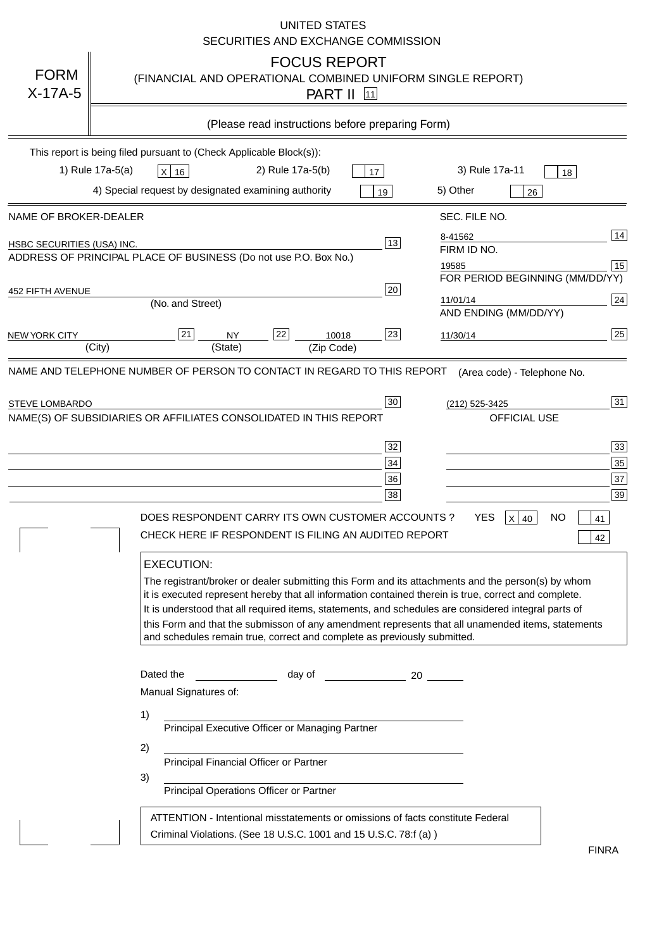|                                | <b>UNITED STATES</b><br>SECURITIES AND EXCHANGE COMMISSION                                                                                                                                                                                                                                                                                                                                                                                                                                                                                                                                                                                                                                 |                            |
|--------------------------------|--------------------------------------------------------------------------------------------------------------------------------------------------------------------------------------------------------------------------------------------------------------------------------------------------------------------------------------------------------------------------------------------------------------------------------------------------------------------------------------------------------------------------------------------------------------------------------------------------------------------------------------------------------------------------------------------|----------------------------|
| <b>FORM</b><br>$X-17A-5$       | <b>FOCUS REPORT</b><br>(FINANCIAL AND OPERATIONAL COMBINED UNIFORM SINGLE REPORT)<br><b>PART II</b> 11                                                                                                                                                                                                                                                                                                                                                                                                                                                                                                                                                                                     |                            |
|                                | (Please read instructions before preparing Form)                                                                                                                                                                                                                                                                                                                                                                                                                                                                                                                                                                                                                                           |                            |
| 1) Rule 17a-5(a)               | This report is being filed pursuant to (Check Applicable Block(s)):<br>2) Rule 17a-5(b)<br>3) Rule 17a-11<br>$X$ 16<br>17<br>18<br>4) Special request by designated examining authority<br>5) Other<br>19<br>26                                                                                                                                                                                                                                                                                                                                                                                                                                                                            |                            |
| NAME OF BROKER-DEALER          | SEC. FILE NO.                                                                                                                                                                                                                                                                                                                                                                                                                                                                                                                                                                                                                                                                              |                            |
| HSBC SECURITIES (USA) INC.     | 8-41562<br>13<br>FIRM ID NO.<br>ADDRESS OF PRINCIPAL PLACE OF BUSINESS (Do not use P.O. Box No.)<br>19585<br>FOR PERIOD BEGINNING (MM/DD/YY)                                                                                                                                                                                                                                                                                                                                                                                                                                                                                                                                               | 14<br>15                   |
| 452 FIFTH AVENUE               | 20<br>11/01/14<br>(No. and Street)<br>AND ENDING (MM/DD/YY)                                                                                                                                                                                                                                                                                                                                                                                                                                                                                                                                                                                                                                | 24                         |
| <b>NEW YORK CITY</b><br>(City) | 23<br> 21 <br>22<br>10018<br><b>NY</b><br>11/30/14<br>(State)<br>(Zip Code)                                                                                                                                                                                                                                                                                                                                                                                                                                                                                                                                                                                                                | 25                         |
| <b>STEVE LOMBARDO</b>          | 30 <sub>o</sub><br>(212) 525-3425<br>NAME(S) OF SUBSIDIARIES OR AFFILIATES CONSOLIDATED IN THIS REPORT<br>OFFICIAL USE<br>32<br>34<br>36<br>38<br><b>YES</b><br><b>NO</b><br>DOES RESPONDENT CARRY ITS OWN CUSTOMER ACCOUNTS ?<br>$X$ 40<br>41<br>CHECK HERE IF RESPONDENT IS FILING AN AUDITED REPORT<br>42<br><b>EXECUTION:</b><br>The registrant/broker or dealer submitting this Form and its attachments and the person(s) by whom<br>it is executed represent hereby that all information contained therein is true, correct and complete.                                                                                                                                           | 31<br>33<br>35<br>37<br>39 |
|                                | It is understood that all required items, statements, and schedules are considered integral parts of<br>this Form and that the submisson of any amendment represents that all unamended items, statements<br>and schedules remain true, correct and complete as previously submitted.<br>Dated the<br>day of the contract and a contract a contract of the contract of the contract of the contract of the contract o<br>Manual Signatures of:<br>1)<br>Principal Executive Officer or Managing Partner<br>2)<br>Principal Financial Officer or Partner<br>3)<br>Principal Operations Officer or Partner<br>ATTENTION - Intentional misstatements or omissions of facts constitute Federal |                            |
|                                | Criminal Violations. (See 18 U.S.C. 1001 and 15 U.S.C. 78:f (a))<br><b>FINRA</b>                                                                                                                                                                                                                                                                                                                                                                                                                                                                                                                                                                                                           |                            |

FINRA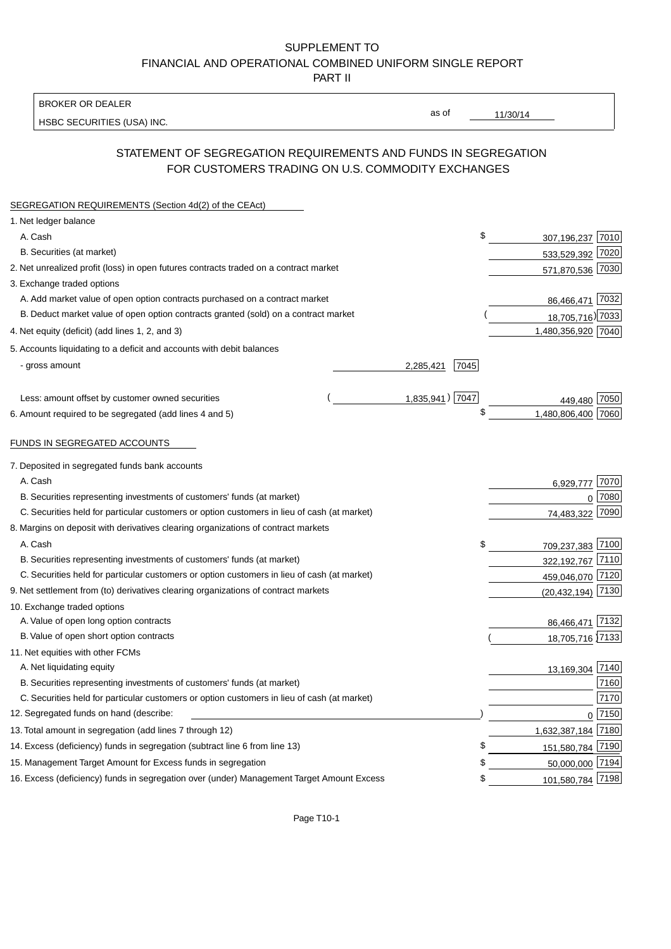## SUPPLEMENT TO FINANCIAL AND OPERATIONAL COMBINED UNIFORM SINGLE REPORT PART II

BROKER OR DEALER

HSBC SECURITIES (USA) INC.

11/30/14

as of

# STATEMENT OF SEGREGATION REQUIREMENTS AND FUNDS IN SEGREGATION FOR CUSTOMERS TRADING ON U.S. COMMODITY EXCHANGES

| SEGREGATION REQUIREMENTS (Section 4d(2) of the CEAct)                                       |                 |      |                    |          |
|---------------------------------------------------------------------------------------------|-----------------|------|--------------------|----------|
| 1. Net ledger balance                                                                       |                 |      |                    |          |
| A. Cash                                                                                     |                 | \$   | 307,196,237 7010   |          |
| B. Securities (at market)                                                                   |                 |      | 533,529,392 7020   |          |
| 2. Net unrealized profit (loss) in open futures contracts traded on a contract market       |                 |      | 571,870,536 7030   |          |
| 3. Exchange traded options                                                                  |                 |      |                    |          |
| A. Add market value of open option contracts purchased on a contract market                 |                 |      | 86,466,471 7032    |          |
| B. Deduct market value of open option contracts granted (sold) on a contract market         |                 |      | 18,705,716) 7033   |          |
| 4. Net equity (deficit) (add lines 1, 2, and 3)                                             |                 |      | 1,480,356,920 7040 |          |
| 5. Accounts liquidating to a deficit and accounts with debit balances                       |                 |      |                    |          |
| - gross amount                                                                              | 2,285,421       | 7045 |                    |          |
|                                                                                             |                 |      |                    |          |
| Less: amount offset by customer owned securities                                            | 1,835,941) 7047 |      | 449,480            | 7050     |
| 6. Amount required to be segregated (add lines 4 and 5)                                     |                 | \$   | 1,480,806,400 7060 |          |
|                                                                                             |                 |      |                    |          |
| FUNDS IN SEGREGATED ACCOUNTS                                                                |                 |      |                    |          |
| 7. Deposited in segregated funds bank accounts                                              |                 |      |                    |          |
| A. Cash                                                                                     |                 |      | 6,929,777          | 7070     |
| B. Securities representing investments of customers' funds (at market)                      |                 |      | $\Omega$           | 7080     |
| C. Securities held for particular customers or option customers in lieu of cash (at market) |                 |      | 74,483,322         | 7090     |
| 8. Margins on deposit with derivatives clearing organizations of contract markets           |                 |      |                    |          |
| A. Cash                                                                                     |                 | \$   | 709,237,383 7100   |          |
| B. Securities representing investments of customers' funds (at market)                      |                 |      | 322,192,767 7110   |          |
| C. Securities held for particular customers or option customers in lieu of cash (at market) |                 |      | 459,046,070 7120   |          |
| 9. Net settlement from (to) derivatives clearing organizations of contract markets          |                 |      | (20, 432, 194)     | 7130     |
| 10. Exchange traded options                                                                 |                 |      |                    |          |
| A. Value of open long option contracts                                                      |                 |      | 86,466,471         | 7132     |
| B. Value of open short option contracts                                                     |                 |      | 18,705,716 7133    |          |
| 11. Net equities with other FCMs                                                            |                 |      |                    |          |
| A. Net liquidating equity                                                                   |                 |      | 13,169,304 7140    |          |
| B. Securities representing investments of customers' funds (at market)                      |                 |      |                    | 7160     |
| C. Securities held for particular customers or option customers in lieu of cash (at market) |                 |      |                    | 7170     |
| 12. Segregated funds on hand (describe:                                                     |                 |      |                    | $0$ 7150 |
| 13. Total amount in segregation (add lines 7 through 12)                                    |                 |      | 1,632,387,184 7180 |          |
| 14. Excess (deficiency) funds in segregation (subtract line 6 from line 13)                 |                 | \$   | 151,580,784 7190   |          |
| 15. Management Target Amount for Excess funds in segregation                                |                 | \$   | 50,000,000 7194    |          |
| 16. Excess (deficiency) funds in segregation over (under) Management Target Amount Excess   |                 | \$   | 101,580,784 7198   |          |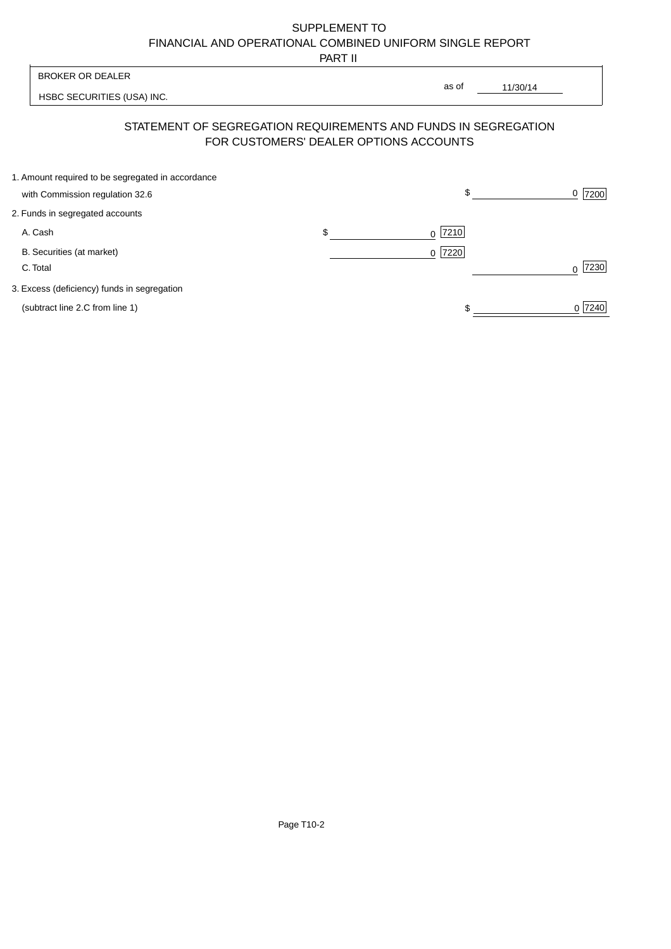# SUPPLEMENT TO FINANCIAL AND OPERATIONAL COMBINED UNIFORM SINGLE REPORT

PART II

 $\overline{1}$ 

| <b>BROKER OR DEALER</b>                                                              |                                        | as of                                                          |           |
|--------------------------------------------------------------------------------------|----------------------------------------|----------------------------------------------------------------|-----------|
| HSBC SECURITIES (USA) INC.                                                           |                                        | 11/30/14                                                       |           |
|                                                                                      | FOR CUSTOMERS' DEALER OPTIONS ACCOUNTS | STATEMENT OF SEGREGATION REQUIREMENTS AND FUNDS IN SEGREGATION |           |
| 1. Amount required to be segregated in accordance<br>with Commission regulation 32.6 |                                        | \$                                                             | 7200<br>0 |
| 2. Funds in segregated accounts                                                      |                                        |                                                                |           |
| A. Cash                                                                              | \$                                     | $0$  7210                                                      |           |
| B. Securities (at market)<br>C. Total                                                |                                        | 0 7220                                                         | 7230      |
| 3. Excess (deficiency) funds in segregation                                          |                                        |                                                                |           |
| (subtract line 2.C from line 1)                                                      |                                        |                                                                | 0 7240    |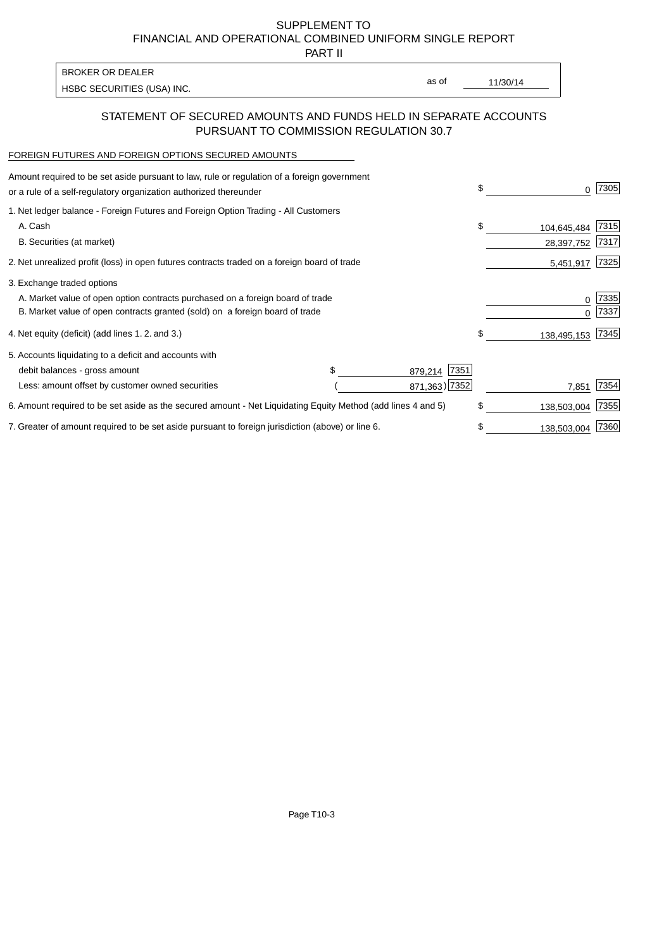SUPPLEMENT TO FINANCIAL AND OPERATIONAL COMBINED UNIFORM SINGLE REPORT

PART II

| <b>BROKER OR DEALER</b>    |       |          |
|----------------------------|-------|----------|
|                            | as of | 11/30/14 |
| HSBC SECURITIES (USA) INC. |       |          |

### STATEMENT OF SECURED AMOUNTS AND FUNDS HELD IN SEPARATE ACCOUNTS PURSUANT TO COMMISSION REGULATION 30.7

### FOREIGN FUTURES AND FOREIGN OPTIONS SECURED AMOUNTS

| Amount required to be set aside pursuant to law, rule or regulation of a foreign government<br>or a rule of a self-regulatory organization authorized thereunder |                 | \$ | O.          | 7305 |
|------------------------------------------------------------------------------------------------------------------------------------------------------------------|-----------------|----|-------------|------|
| 1. Net ledger balance - Foreign Futures and Foreign Option Trading - All Customers                                                                               |                 |    |             |      |
| A. Cash                                                                                                                                                          |                 | \$ | 104,645,484 | 7315 |
| B. Securities (at market)                                                                                                                                        |                 |    | 28,397,752  | 7317 |
| 2. Net unrealized profit (loss) in open futures contracts traded on a foreign board of trade                                                                     |                 |    | 5,451,917   | 7325 |
| 3. Exchange traded options                                                                                                                                       |                 |    |             |      |
| A. Market value of open option contracts purchased on a foreign board of trade                                                                                   |                 |    | 0           | 7335 |
| B. Market value of open contracts granted (sold) on a foreign board of trade                                                                                     |                 |    |             | 7337 |
| 4. Net equity (deficit) (add lines 1. 2. and 3.)                                                                                                                 |                 | \$ | 138,495,153 | 7345 |
| 5. Accounts liquidating to a deficit and accounts with                                                                                                           |                 |    |             |      |
| debit balances - gross amount                                                                                                                                    | 7351<br>879,214 |    |             |      |
| Less: amount offset by customer owned securities                                                                                                                 | 871,363) 7352   |    | 7,851       | 7354 |
| 6. Amount required to be set aside as the secured amount - Net Liquidating Equity Method (add lines 4 and 5)                                                     |                 | \$ | 138,503,004 | 7355 |
| 7. Greater of amount required to be set aside pursuant to foreign jurisdiction (above) or line 6.                                                                |                 | S  | 138,503,004 | 7360 |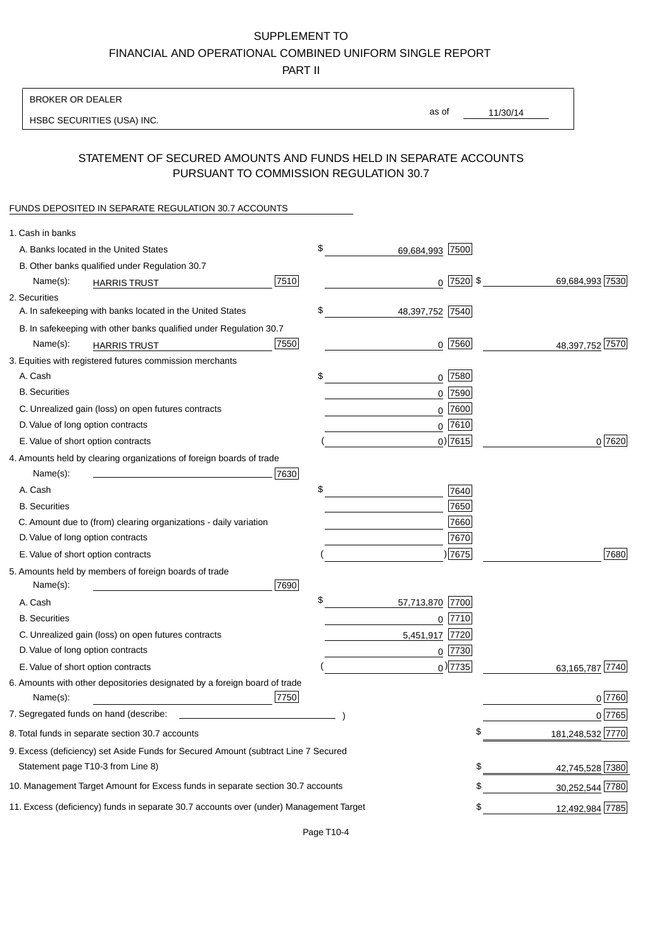# SUPPLEMENT TO

FINANCIAL AND OPERATIONAL COMBINED UNIFORM SINGLE REPORT

PART II

## BROKER OR DEALER

HSBC SECURITIES (USA) INC.

11/30/14 as of

### STATEMENT OF SECURED AMOUNTS AND FUNDS HELD IN SEPARATE ACCOUNTS PURSUANT TO COMMISSION REGULATION 30.7

### FUNDS DEPOSITED IN SEPARATE REGULATION 30.7 ACCOUNTS

| 1. Cash in banks                                                                       |                  |                   |                  |
|----------------------------------------------------------------------------------------|------------------|-------------------|------------------|
| A. Banks located in the United States                                                  | \$               | 69,684,993 7500   |                  |
| B. Other banks qualified under Regulation 30.7                                         |                  |                   |                  |
| 7510<br>Name(s):<br><b>HARRIS TRUST</b>                                                |                  | $0$ 7520 \$       | 69,684,993 7530  |
| 2. Securities                                                                          |                  |                   |                  |
| A. In safekeeping with banks located in the United States                              | \$               | 48,397,752 7540   |                  |
| B. In safekeeping with other banks qualified under Regulation 30.7                     |                  |                   |                  |
| 7550<br>Name(s):<br><b>HARRIS TRUST</b>                                                |                  | $0$ 7560          | 48,397,752 7570  |
| 3. Equities with registered futures commission merchants                               |                  |                   |                  |
| A. Cash                                                                                | \$               | $0$   7580        |                  |
| <b>B.</b> Securities                                                                   |                  | $0$ 7590          |                  |
| C. Unrealized gain (loss) on open futures contracts                                    |                  | 0 7600            |                  |
| D. Value of long option contracts                                                      |                  | $0$ 7610          |                  |
| E. Value of short option contracts                                                     |                  | $0$ ) 7615        | 0 7620           |
| 4. Amounts held by clearing organizations of foreign boards of trade                   |                  |                   |                  |
| 7630<br>Name(s):                                                                       |                  |                   |                  |
| A. Cash                                                                                | \$               | 7640              |                  |
| <b>B.</b> Securities                                                                   |                  | 7650              |                  |
| C. Amount due to (from) clearing organizations - daily variation                       |                  | 7660              |                  |
| D. Value of long option contracts                                                      |                  | 7670              |                  |
| E. Value of short option contracts                                                     |                  | ) 7675            | 7680             |
| 5. Amounts held by members of foreign boards of trade<br>Name(s):<br>7690              |                  |                   |                  |
| A. Cash                                                                                | \$<br>57,713,870 | 7700              |                  |
| <b>B.</b> Securities                                                                   |                  | $0$  7710         |                  |
| C. Unrealized gain (loss) on open futures contracts                                    |                  | 7720<br>5,451,917 |                  |
| D. Value of long option contracts                                                      |                  | $0$  7730         |                  |
| E. Value of short option contracts                                                     |                  | $_0$ ) 7735       | 63,165,787 7740  |
| 6. Amounts with other depositories designated by a foreign board of trade              |                  |                   |                  |
| 7750<br>Name(s):                                                                       |                  |                   | $0$ 7760         |
| 7. Segregated funds on hand (describe:                                                 |                  |                   | 0 7765           |
| 8. Total funds in separate section 30.7 accounts                                       |                  | \$                | 181,248,532 7770 |
| 9. Excess (deficiency) set Aside Funds for Secured Amount (subtract Line 7 Secured     |                  |                   |                  |
| Statement page T10-3 from Line 8)                                                      |                  | \$                | 42,745,528 7380  |
| 10. Management Target Amount for Excess funds in separate section 30.7 accounts        |                  | \$                | 30,252,544 7780  |
| 11. Excess (deficiency) funds in separate 30.7 accounts over (under) Management Target |                  | \$                | 12,492,984 7785  |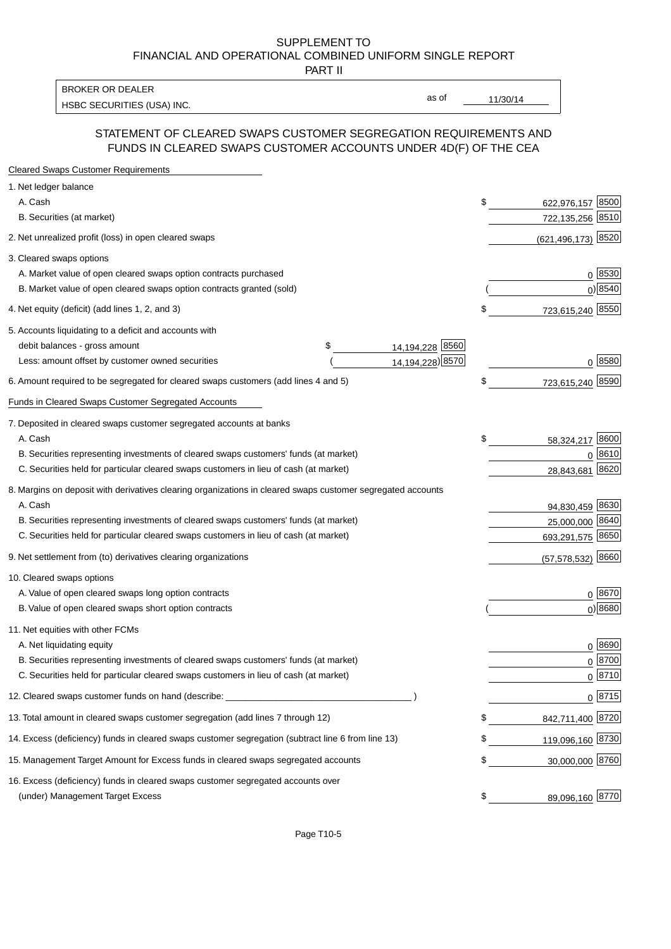### SUPPLEMENT TO FINANCIAL AND OPERATIONAL COMBINED UNIFORM SINGLE REPORT PART II

HSBC SECURITIES (USA) INC. The second second second second second second second second second second second second second second second second second second second second second second second second second second second se BROKER OR DEALER

as of

### STATEMENT OF CLEARED SWAPS CUSTOMER SEGREGATION REQUIREMENTS AND FUNDS IN CLEARED SWAPS CUSTOMER ACCOUNTS UNDER 4D(F) OF THE CEA

| <b>Cleared Swaps Customer Requirements</b>                                                                  |                       |                           |
|-------------------------------------------------------------------------------------------------------------|-----------------------|---------------------------|
| 1. Net ledger balance                                                                                       |                       |                           |
| A. Cash                                                                                                     |                       | \$<br>8500<br>622,976,157 |
| B. Securities (at market)                                                                                   |                       | 722,135,256<br>8510       |
| 2. Net unrealized profit (loss) in open cleared swaps                                                       |                       | (621,496,173) 8520        |
| 3. Cleared swaps options                                                                                    |                       |                           |
| A. Market value of open cleared swaps option contracts purchased                                            |                       | $0^{8530}$                |
| B. Market value of open cleared swaps option contracts granted (sold)                                       |                       | $0)$ 8540                 |
| 4. Net equity (deficit) (add lines 1, 2, and 3)                                                             |                       | \$<br>723,615,240 8550    |
| 5. Accounts liquidating to a deficit and accounts with                                                      |                       |                           |
| debit balances - gross amount                                                                               | 14,194,228 8560<br>\$ |                           |
| Less: amount offset by customer owned securities                                                            | 14, 194, 228) 8570    | 0 8580                    |
| 6. Amount required to be segregated for cleared swaps customers (add lines 4 and 5)                         |                       | \$<br>723,615,240 8590    |
| Funds in Cleared Swaps Customer Segregated Accounts                                                         |                       |                           |
| 7. Deposited in cleared swaps customer segregated accounts at banks                                         |                       |                           |
| A. Cash                                                                                                     |                       | \$<br>8600<br>58,324,217  |
| B. Securities representing investments of cleared swaps customers' funds (at market)                        |                       | 8610<br>$\Omega$          |
| C. Securities held for particular cleared swaps customers in lieu of cash (at market)                       |                       | 8620<br>28,843,681        |
| 8. Margins on deposit with derivatives clearing organizations in cleared swaps customer segregated accounts |                       |                           |
| A. Cash                                                                                                     |                       | 94,830,459 8630           |
| B. Securities representing investments of cleared swaps customers' funds (at market)                        |                       | 25,000,000<br>8640        |
| C. Securities held for particular cleared swaps customers in lieu of cash (at market)                       |                       | 693,291,575 8650          |
| 9. Net settlement from (to) derivatives clearing organizations                                              |                       | 8660<br>(57, 578, 532)    |
| 10. Cleared swaps options                                                                                   |                       |                           |
| A. Value of open cleared swaps long option contracts                                                        |                       | $0^{8670}$                |
| B. Value of open cleared swaps short option contracts                                                       |                       | $0$ ) 8680                |
| 11. Net equities with other FCMs                                                                            |                       |                           |
| A. Net liquidating equity                                                                                   |                       | $0^{8690}$                |
| B. Securities representing investments of cleared swaps customers' funds (at market)                        |                       | $0^{8700}$                |
| C. Securities held for particular cleared swaps customers in lieu of cash (at market)                       |                       | 0 8710                    |
| 12. Cleared swaps customer funds on hand (describe: _                                                       |                       | $0 \;  8715 $             |
| 13. Total amount in cleared swaps customer segregation (add lines 7 through 12)                             |                       | 842,711,400 8720          |
| 14. Excess (deficiency) funds in cleared swaps customer segregation (subtract line 6 from line 13)          |                       | 119,096,160 8730          |
| 15. Management Target Amount for Excess funds in cleared swaps segregated accounts                          |                       | \$<br>30,000,000 8760     |
| 16. Excess (deficiency) funds in cleared swaps customer segregated accounts over                            |                       |                           |
| (under) Management Target Excess                                                                            |                       | \$<br>89,096,160 8770     |